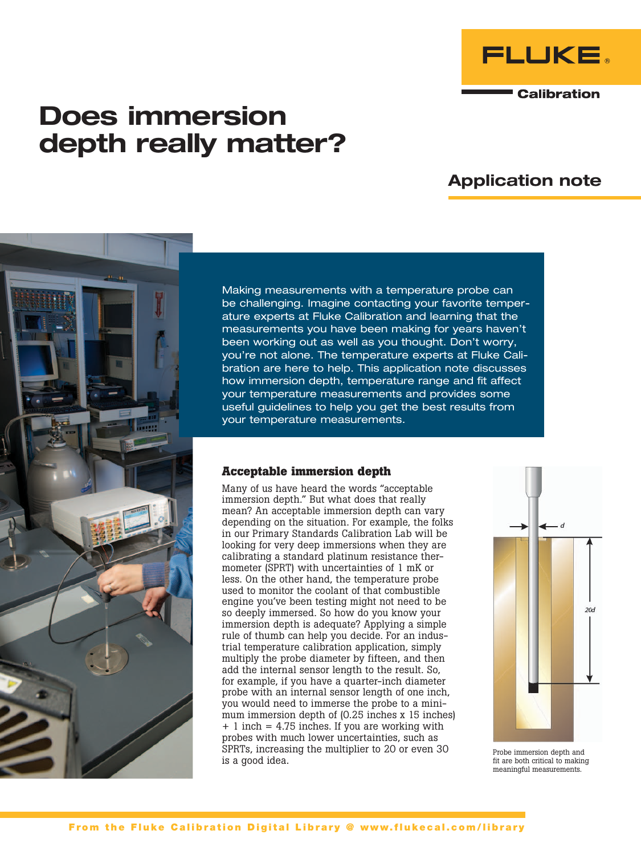

**Calibration** 

# Does immersion depth really matter?

# Application note



Making measurements with a temperature probe can be challenging. Imagine contacting your favorite temperature experts at Fluke Calibration and learning that the measurements you have been making for years haven't been working out as well as you thought. Don't worry, you're not alone. The temperature experts at Fluke Calibration are here to help. This application note discusses how immersion depth, temperature range and fit affect your temperature measurements and provides some useful guidelines to help you get the best results from your temperature measurements.

# **Acceptable immersion depth**

Many of us have heard the words "acceptable immersion depth." But what does that really mean? An acceptable immersion depth can vary depending on the situation. For example, the folks in our Primary Standards Calibration Lab will be looking for very deep immersions when they are calibrating a standard platinum resistance thermometer (SPRT) with uncertainties of 1 mK or less. On the other hand, the temperature probe used to monitor the coolant of that combustible engine you've been testing might not need to be so deeply immersed. So how do you know your immersion depth is adequate? Applying a simple rule of thumb can help you decide. For an industrial temperature calibration application, simply multiply the probe diameter by fifteen, and then add the internal sensor length to the result. So, for example, if you have a quarter-inch diameter probe with an internal sensor length of one inch, you would need to immerse the probe to a minimum immersion depth of (0.25 inches x 15 inches) + 1 inch = 4.75 inches. If you are working with probes with much lower uncertainties, such as SPRTs, increasing the multiplier to 20 or even 30 is a good idea.



Probe immersion depth and fit are both critical to making meaningful measurements.